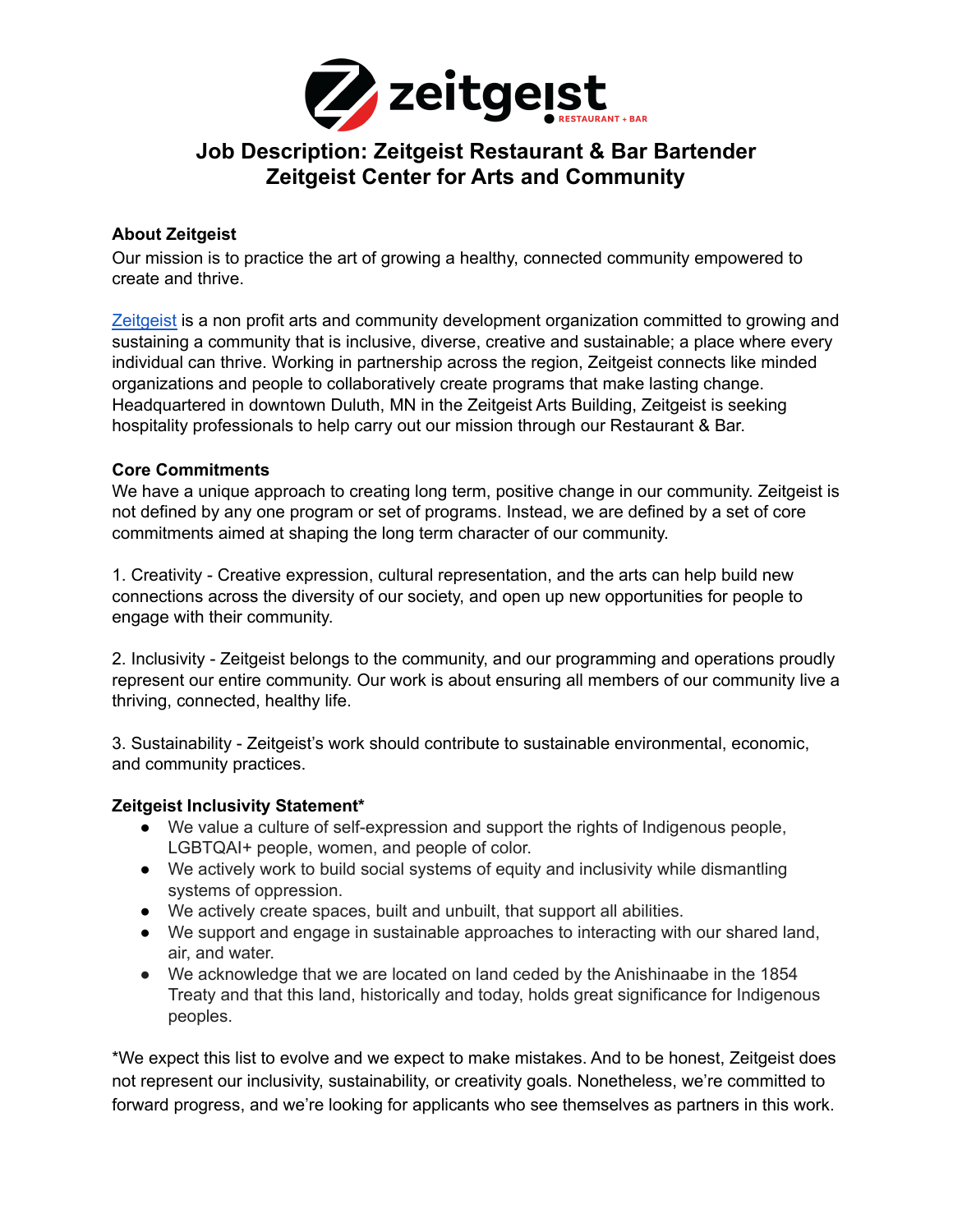

# **Job Description: Zeitgeist Restaurant & Bar Bartender Zeitgeist Center for Arts and Community**

### **About Zeitgeist**

Our mission is to practice the art of growing a healthy, connected community empowered to create and thrive.

[Zeitgeist](https://zeitgeistarts.com/) is a non profit arts and community development organization committed to growing and sustaining a community that is inclusive, diverse, creative and sustainable; a place where every individual can thrive. Working in partnership across the region, Zeitgeist connects like minded organizations and people to collaboratively create programs that make lasting change. Headquartered in downtown Duluth, MN in the Zeitgeist Arts Building, Zeitgeist is seeking hospitality professionals to help carry out our mission through our Restaurant & Bar.

#### **Core Commitments**

We have a unique approach to creating long term, positive change in our community. Zeitgeist is not defined by any one program or set of programs. Instead, we are defined by a set of core commitments aimed at shaping the long term character of our community.

1. Creativity - Creative expression, cultural representation, and the arts can help build new connections across the diversity of our society, and open up new opportunities for people to engage with their community.

2. Inclusivity - Zeitgeist belongs to the community, and our programming and operations proudly represent our entire community. Our work is about ensuring all members of our community live a thriving, connected, healthy life.

3. Sustainability - Zeitgeist's work should contribute to sustainable environmental, economic, and community practices.

# **Zeitgeist Inclusivity Statement\***

- We value a culture of self-expression and support the rights of Indigenous people, LGBTQAI+ people, women, and people of color.
- We actively work to build social systems of equity and inclusivity while dismantling systems of oppression.
- We actively create spaces, built and unbuilt, that support all abilities.
- We support and engage in sustainable approaches to interacting with our shared land, air, and water.
- We acknowledge that we are located on land ceded by the Anishinaabe in the 1854 Treaty and that this land, historically and today, holds great significance for Indigenous peoples.

\*We expect this list to evolve and we expect to make mistakes. And to be honest, Zeitgeist does not represent our inclusivity, sustainability, or creativity goals. Nonetheless, we're committed to forward progress, and we're looking for applicants who see themselves as partners in this work.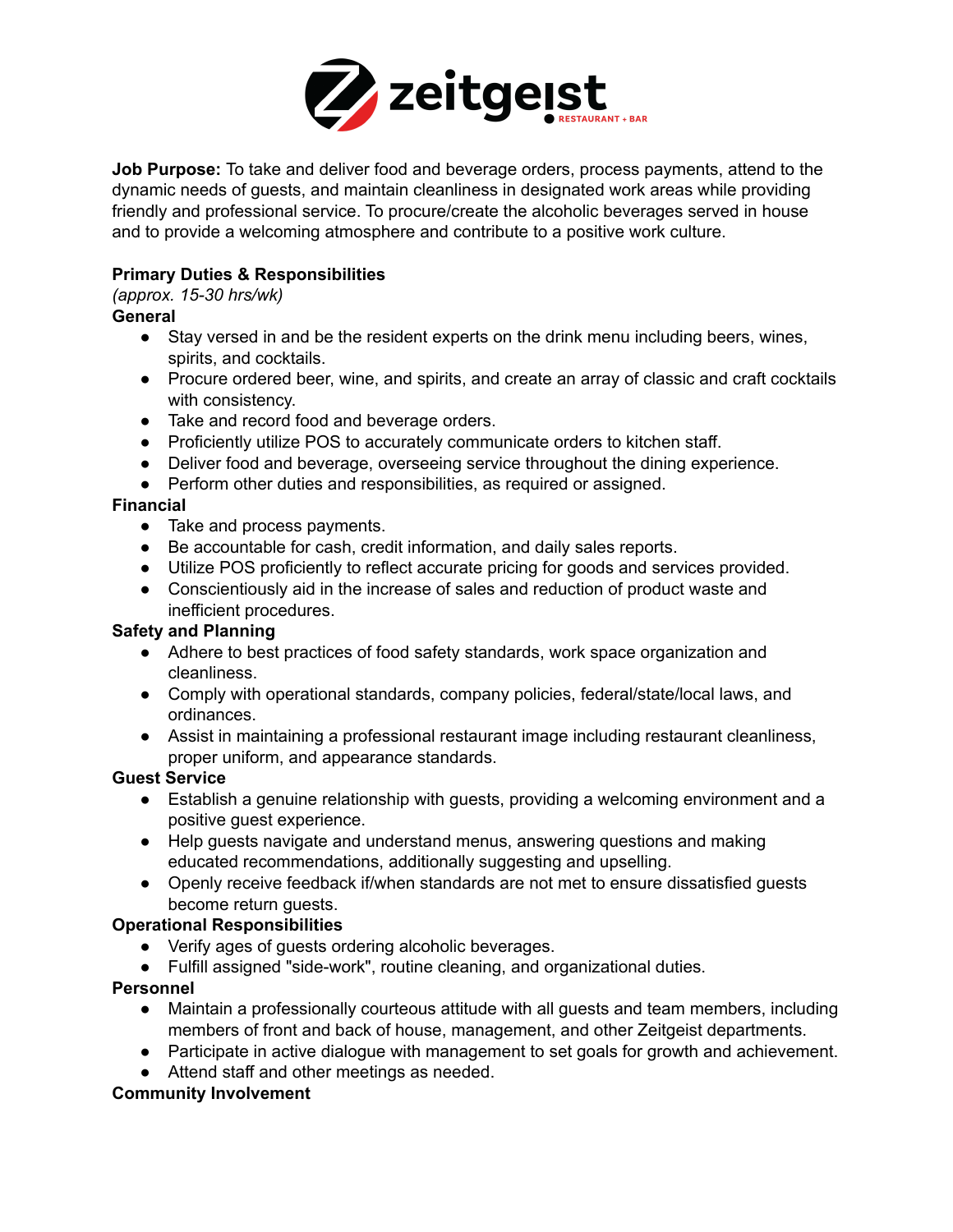

**Job Purpose:** To take and deliver food and beverage orders, process payments, attend to the dynamic needs of guests, and maintain cleanliness in designated work areas while providing friendly and professional service. To procure/create the alcoholic beverages served in house and to provide a welcoming atmosphere and contribute to a positive work culture.

# **Primary Duties & Responsibilities**

*(approx. 15-30 hrs/wk)*

### **General**

- Stay versed in and be the resident experts on the drink menu including beers, wines, spirits, and cocktails.
- Procure ordered beer, wine, and spirits, and create an array of classic and craft cocktails with consistency.
- Take and record food and beverage orders.
- Proficiently utilize POS to accurately communicate orders to kitchen staff.
- Deliver food and beverage, overseeing service throughout the dining experience.
- Perform other duties and responsibilities, as required or assigned.

### **Financial**

- Take and process payments.
- Be accountable for cash, credit information, and daily sales reports.
- Utilize POS proficiently to reflect accurate pricing for goods and services provided.
- Conscientiously aid in the increase of sales and reduction of product waste and inefficient procedures.

#### **Safety and Planning**

- Adhere to best practices of food safety standards, work space organization and cleanliness.
- Comply with operational standards, company policies, federal/state/local laws, and ordinances.
- Assist in maintaining a professional restaurant image including restaurant cleanliness, proper uniform, and appearance standards.

# **Guest Service**

- Establish a genuine relationship with guests, providing a welcoming environment and a positive guest experience.
- Help guests navigate and understand menus, answering questions and making educated recommendations, additionally suggesting and upselling.
- Openly receive feedback if/when standards are not met to ensure dissatisfied guests become return guests.

# **Operational Responsibilities**

- Verify ages of guests ordering alcoholic beverages.
- Fulfill assigned "side-work", routine cleaning, and organizational duties.

# **Personnel**

- Maintain a professionally courteous attitude with all guests and team members, including members of front and back of house, management, and other Zeitgeist departments.
- Participate in active dialogue with management to set goals for growth and achievement.
- Attend staff and other meetings as needed.

# **Community Involvement**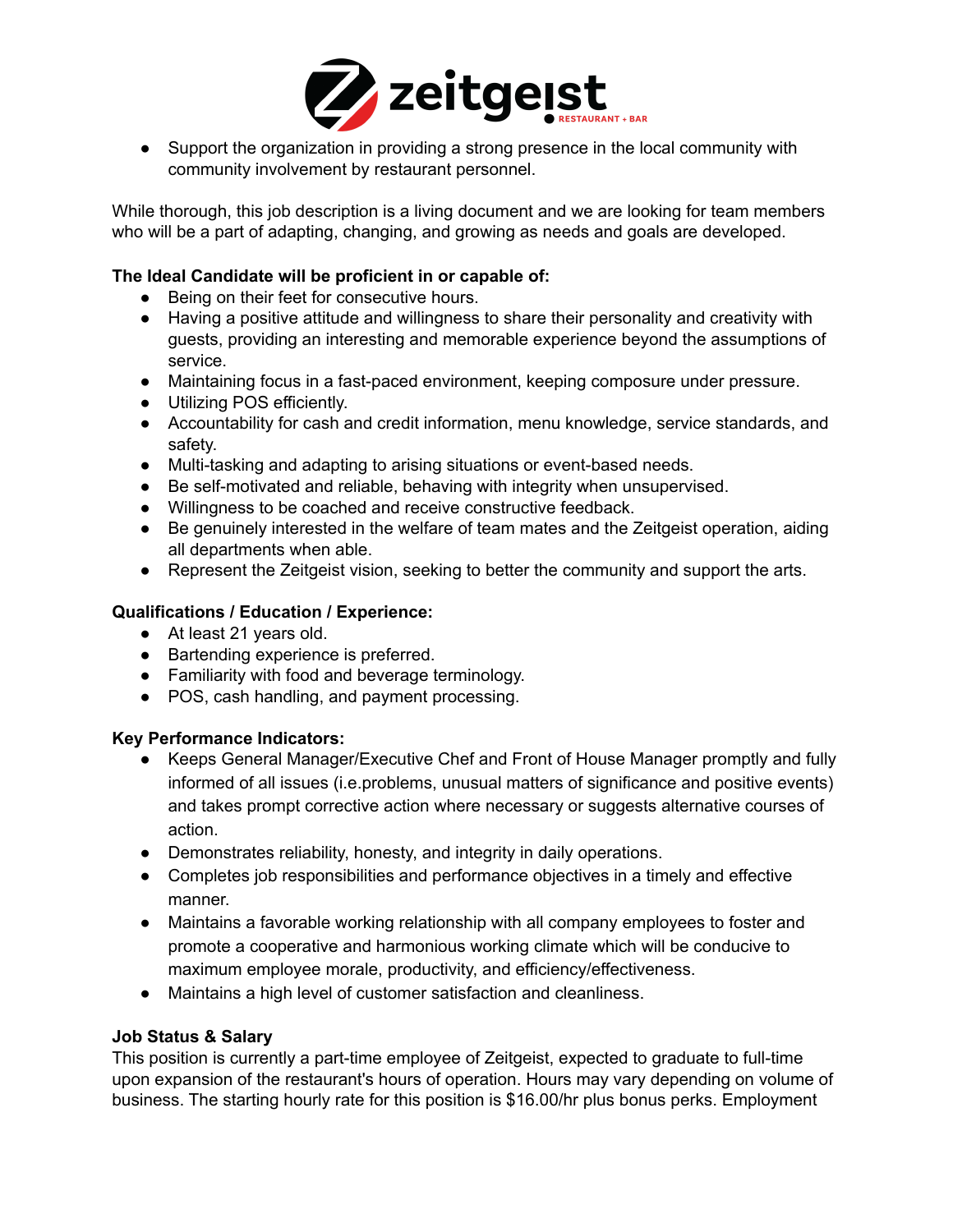

● Support the organization in providing a strong presence in the local community with community involvement by restaurant personnel.

While thorough, this job description is a living document and we are looking for team members who will be a part of adapting, changing, and growing as needs and goals are developed.

### **The Ideal Candidate will be proficient in or capable of:**

- Being on their feet for consecutive hours.
- Having a positive attitude and willingness to share their personality and creativity with guests, providing an interesting and memorable experience beyond the assumptions of service.
- Maintaining focus in a fast-paced environment, keeping composure under pressure.
- Utilizing POS efficiently.
- Accountability for cash and credit information, menu knowledge, service standards, and safety.
- Multi-tasking and adapting to arising situations or event-based needs.
- Be self-motivated and reliable, behaving with integrity when unsupervised.
- Willingness to be coached and receive constructive feedback.
- Be genuinely interested in the welfare of team mates and the Zeitgeist operation, aiding all departments when able.
- Represent the Zeitgeist vision, seeking to better the community and support the arts.

## **Qualifications / Education / Experience:**

- **●** At least 21 years old.
- **●** Bartending experience is preferred.
- **●** Familiarity with food and beverage terminology.
- POS, cash handling, and payment processing.

#### **Key Performance Indicators:**

- Keeps General Manager/Executive Chef and Front of House Manager promptly and fully informed of all issues (i.e.problems, unusual matters of significance and positive events) and takes prompt corrective action where necessary or suggests alternative courses of action.
- Demonstrates reliability, honesty, and integrity in daily operations.
- Completes job responsibilities and performance objectives in a timely and effective manner.
- Maintains a favorable working relationship with all company employees to foster and promote a cooperative and harmonious working climate which will be conducive to maximum employee morale, productivity, and efficiency/effectiveness.
- Maintains a high level of customer satisfaction and cleanliness.

#### **Job Status & Salary**

This position is currently a part-time employee of Zeitgeist, expected to graduate to full-time upon expansion of the restaurant's hours of operation. Hours may vary depending on volume of business. The starting hourly rate for this position is \$16.00/hr plus bonus perks. Employment